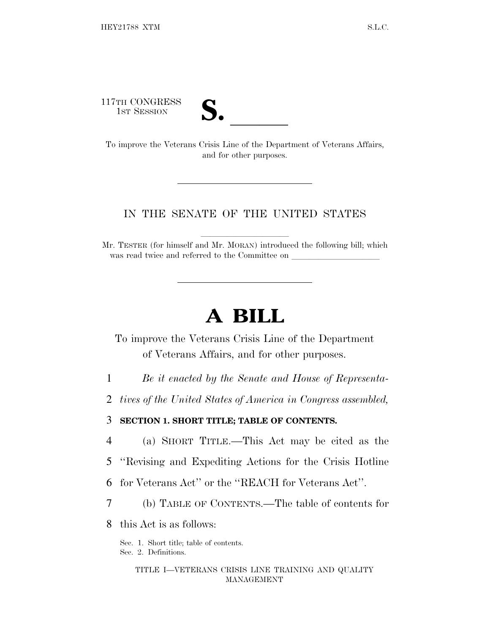117TH CONGRESS



17TH CONGRESS<br>
1ST SESSION<br>
To improve the Veterans Crisis Line of the Department of Veterans Affairs, and for other purposes.

## IN THE SENATE OF THE UNITED STATES

Mr. TESTER (for himself and Mr. MORAN) introduced the following bill; which was read twice and referred to the Committee on \_\_\_\_\_\_\_\_\_\_\_\_\_\_\_\_\_\_\_\_\_\_\_\_\_\_\_\_\_\_\_\_

# **A BILL**

To improve the Veterans Crisis Line of the Department of Veterans Affairs, and for other purposes.

- 1 *Be it enacted by the Senate and House of Representa-*
- 2 *tives of the United States of America in Congress assembled,*

3 **SECTION 1. SHORT TITLE; TABLE OF CONTENTS.**

- 4 (a) SHORT TITLE.—This Act may be cited as the
- 5 ''Revising and Expediting Actions for the Crisis Hotline
- 6 for Veterans Act'' or the ''REACH for Veterans Act''.
- 7 (b) TABLE OF CONTENTS.—The table of contents for
- 8 this Act is as follows:

Sec. 1. Short title; table of contents. Sec. 2. Definitions.

> TITLE I—VETERANS CRISIS LINE TRAINING AND QUALITY MANAGEMENT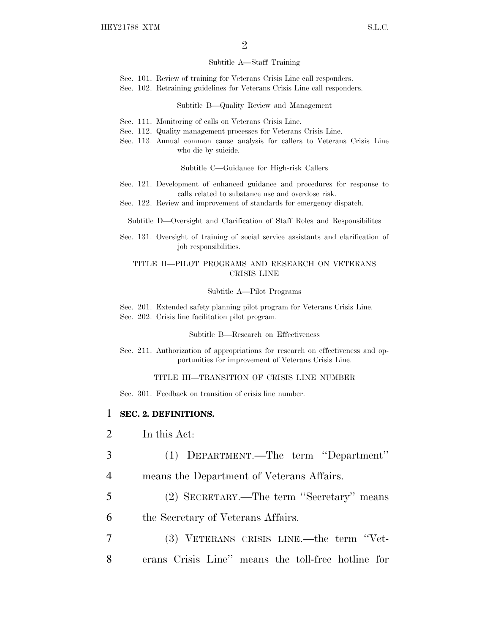#### Subtitle A—Staff Training

- Sec. 101. Review of training for Veterans Crisis Line call responders.
- Sec. 102. Retraining guidelines for Veterans Crisis Line call responders.

### Subtitle B—Quality Review and Management

- Sec. 111. Monitoring of calls on Veterans Crisis Line.
- Sec. 112. Quality management processes for Veterans Crisis Line.
- Sec. 113. Annual common cause analysis for callers to Veterans Crisis Line who die by suicide.

Subtitle C—Guidance for High-risk Callers

- Sec. 121. Development of enhanced guidance and procedures for response to calls related to substance use and overdose risk.
- Sec. 122. Review and improvement of standards for emergency dispatch.
	- Subtitle D—Oversight and Clarification of Staff Roles and Responsibilites
- Sec. 131. Oversight of training of social service assistants and clarification of job responsibilities.

## TITLE II—PILOT PROGRAMS AND RESEARCH ON VETERANS CRISIS LINE

#### Subtitle A—Pilot Programs

Sec. 201. Extended safety planning pilot program for Veterans Crisis Line. Sec. 202. Crisis line facilitation pilot program.

Subtitle B—Research on Effectiveness

Sec. 211. Authorization of appropriations for research on effectiveness and opportunities for improvement of Veterans Crisis Line.

#### TITLE III—TRANSITION OF CRISIS LINE NUMBER

Sec. 301. Feedback on transition of crisis line number.

## 1 **SEC. 2. DEFINITIONS.**

- 2 In this Act:
- 3 (1) DEPARTMENT.—The term ''Department''
- 4 means the Department of Veterans Affairs.
- 5 (2) SECRETARY.—The term ''Secretary'' means
- 6 the Secretary of Veterans Affairs.
- 7 (3) VETERANS CRISIS LINE.—the term ''Vet-8 erans Crisis Line'' means the toll-free hotline for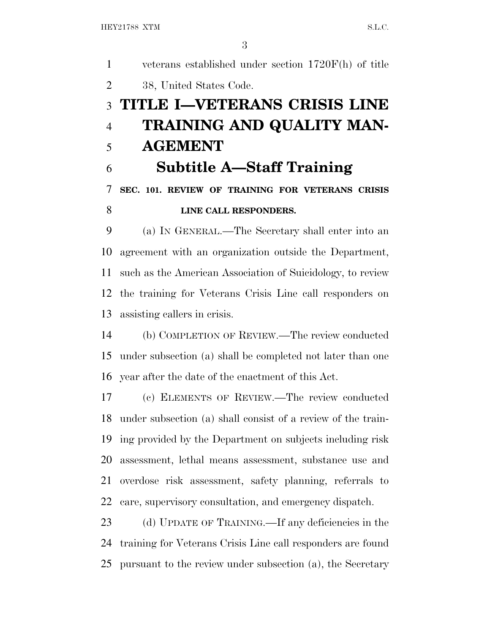veterans established under section 1720F(h) of title 38, United States Code. **TITLE I—VETERANS CRISIS LINE TRAINING AND QUALITY MAN- AGEMENT Subtitle A—Staff Training SEC. 101. REVIEW OF TRAINING FOR VETERANS CRISIS LINE CALL RESPONDERS.**  (a) I<sup>N</sup> GENERAL.—The Secretary shall enter into an agreement with an organization outside the Department, such as the American Association of Suicidology, to review the training for Veterans Crisis Line call responders on assisting callers in crisis. (b) COMPLETION OF REVIEW.—The review conducted under subsection (a) shall be completed not later than one year after the date of the enactment of this Act. (c) ELEMENTS OF REVIEW.—The review conducted under subsection (a) shall consist of a review of the train- ing provided by the Department on subjects including risk assessment, lethal means assessment, substance use and overdose risk assessment, safety planning, referrals to care, supervisory consultation, and emergency dispatch. (d) UPDATE OF TRAINING.—If any deficiencies in the

pursuant to the review under subsection (a), the Secretary

training for Veterans Crisis Line call responders are found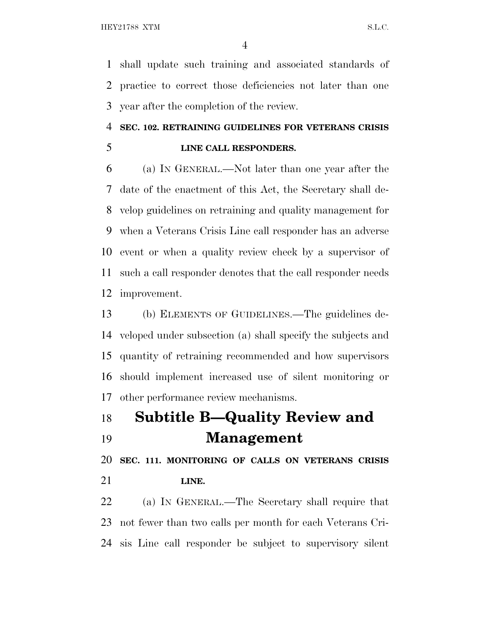shall update such training and associated standards of practice to correct those deficiencies not later than one year after the completion of the review.

## **SEC. 102. RETRAINING GUIDELINES FOR VETERANS CRISIS LINE CALL RESPONDERS.**

 (a) I<sup>N</sup> GENERAL.—Not later than one year after the date of the enactment of this Act, the Secretary shall de- velop guidelines on retraining and quality management for when a Veterans Crisis Line call responder has an adverse event or when a quality review check by a supervisor of such a call responder denotes that the call responder needs improvement.

 (b) ELEMENTS OF GUIDELINES.—The guidelines de- veloped under subsection (a) shall specify the subjects and quantity of retraining recommended and how supervisors should implement increased use of silent monitoring or other performance review mechanisms.

# **Subtitle B—Quality Review and Management**

 **SEC. 111. MONITORING OF CALLS ON VETERANS CRISIS LINE.**

 (a) I<sup>N</sup> GENERAL.—The Secretary shall require that not fewer than two calls per month for each Veterans Cri-sis Line call responder be subject to supervisory silent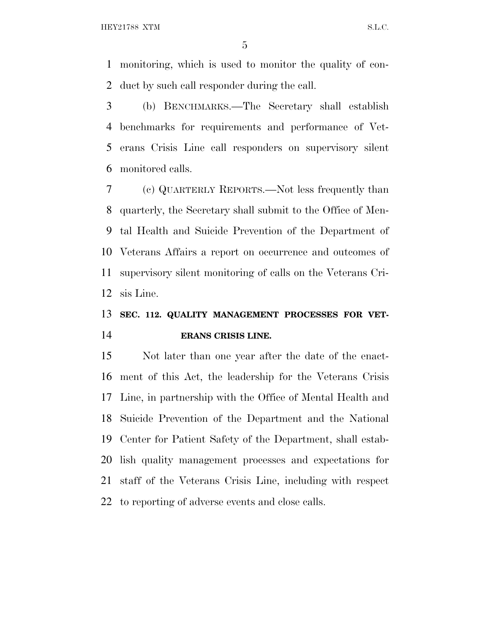monitoring, which is used to monitor the quality of con-duct by such call responder during the call.

 (b) BENCHMARKS.—The Secretary shall establish benchmarks for requirements and performance of Vet- erans Crisis Line call responders on supervisory silent monitored calls.

 (c) QUARTERLY REPORTS.—Not less frequently than quarterly, the Secretary shall submit to the Office of Men- tal Health and Suicide Prevention of the Department of Veterans Affairs a report on occurrence and outcomes of supervisory silent monitoring of calls on the Veterans Cri-sis Line.

## **SEC. 112. QUALITY MANAGEMENT PROCESSES FOR VET-ERANS CRISIS LINE.**

 Not later than one year after the date of the enact- ment of this Act, the leadership for the Veterans Crisis Line, in partnership with the Office of Mental Health and Suicide Prevention of the Department and the National Center for Patient Safety of the Department, shall estab- lish quality management processes and expectations for staff of the Veterans Crisis Line, including with respect to reporting of adverse events and close calls.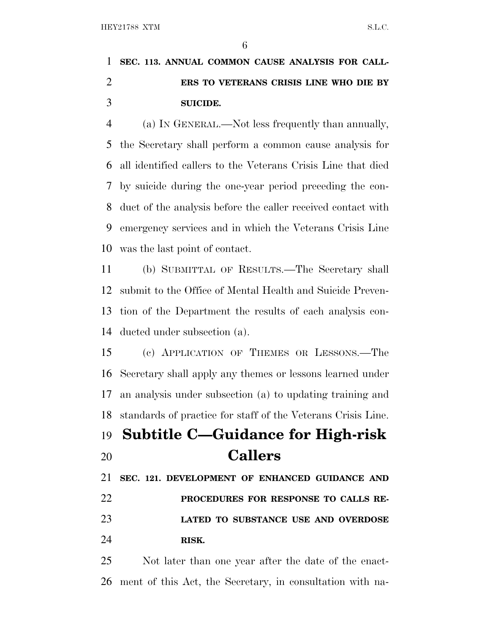## **SEC. 113. ANNUAL COMMON CAUSE ANALYSIS FOR CALL- ERS TO VETERANS CRISIS LINE WHO DIE BY SUICIDE.**

 (a) I<sup>N</sup> GENERAL.—Not less frequently than annually, the Secretary shall perform a common cause analysis for all identified callers to the Veterans Crisis Line that died by suicide during the one-year period preceding the con- duct of the analysis before the caller received contact with emergency services and in which the Veterans Crisis Line was the last point of contact.

 (b) SUBMITTAL OF RESULTS.—The Secretary shall submit to the Office of Mental Health and Suicide Preven- tion of the Department the results of each analysis con-ducted under subsection (a).

 (c) APPLICATION OF THEMES OR LESSONS.—The Secretary shall apply any themes or lessons learned under an analysis under subsection (a) to updating training and standards of practice for staff of the Veterans Crisis Line.

# **Subtitle C—Guidance for High-risk Callers**

 **SEC. 121. DEVELOPMENT OF ENHANCED GUIDANCE AND PROCEDURES FOR RESPONSE TO CALLS RE- LATED TO SUBSTANCE USE AND OVERDOSE RISK.**

 Not later than one year after the date of the enact-ment of this Act, the Secretary, in consultation with na-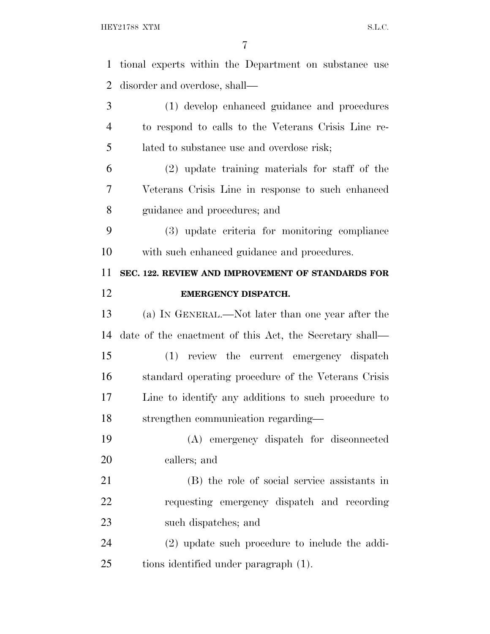| $\mathbf{1}$   | tional experts within the Department on substance use   |
|----------------|---------------------------------------------------------|
| $\overline{2}$ | disorder and overdose, shall—                           |
| 3              | (1) develop enhanced guidance and procedures            |
| $\overline{4}$ | to respond to calls to the Veterans Crisis Line re-     |
| 5              | lated to substance use and overdose risk;               |
| 6              | $(2)$ update training materials for staff of the        |
| 7              | Veterans Crisis Line in response to such enhanced       |
| 8              | guidance and procedures; and                            |
| 9              | (3) update criteria for monitoring compliance           |
| 10             | with such enhanced guidance and procedures.             |
| 11             | SEC. 122. REVIEW AND IMPROVEMENT OF STANDARDS FOR       |
| 12             | <b>EMERGENCY DISPATCH.</b>                              |
| 13             | (a) IN GENERAL.—Not later than one year after the       |
| 14             | date of the enactment of this Act, the Secretary shall— |
| 15             | (1) review the current emergency dispatch               |
| 16             | standard operating procedure of the Veterans Crisis     |
| 17             | Line to identify any additions to such procedure to     |
| 18             | strengthen communication regarding-                     |
| 19             | (A) emergency dispatch for disconnected                 |
| 20             | callers; and                                            |
| 21             | (B) the role of social service assistants in            |
| 22             | requesting emergency dispatch and recording             |
| 23             | such dispatches; and                                    |
| 24             | $(2)$ update such procedure to include the addi-        |
| 25             | tions identified under paragraph (1).                   |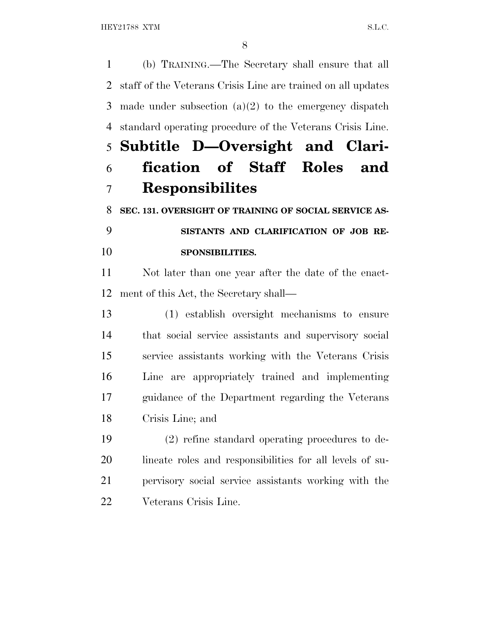HEY21788 XTM S.L.C.

 (b) TRAINING.—The Secretary shall ensure that all staff of the Veterans Crisis Line are trained on all updates made under subsection (a)(2) to the emergency dispatch standard operating procedure of the Veterans Crisis Line. **Subtitle D—Oversight and Clari- fication of Staff Roles and Responsibilites SEC. 131. OVERSIGHT OF TRAINING OF SOCIAL SERVICE AS- SISTANTS AND CLARIFICATION OF JOB RE-SPONSIBILITIES.**

 Not later than one year after the date of the enact-ment of this Act, the Secretary shall—

 (1) establish oversight mechanisms to ensure that social service assistants and supervisory social service assistants working with the Veterans Crisis Line are appropriately trained and implementing guidance of the Department regarding the Veterans Crisis Line; and

 (2) refine standard operating procedures to de- lineate roles and responsibilities for all levels of su- pervisory social service assistants working with the Veterans Crisis Line.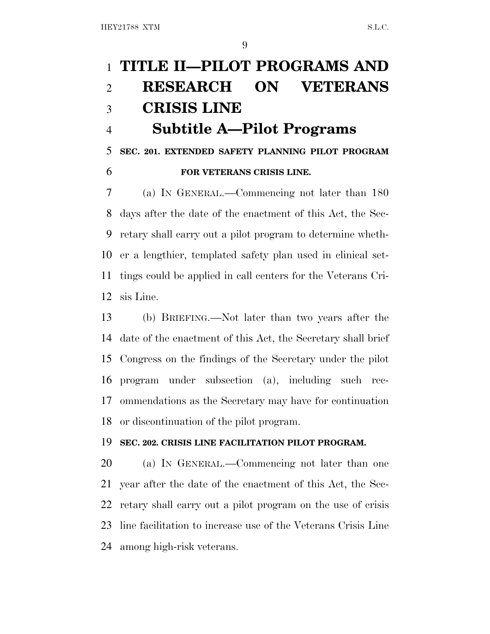# **TITLE II—PILOT PROGRAMS AND RESEARCH ON VETERANS CRISIS LINE Subtitle A—Pilot Programs**

**SEC. 201. EXTENDED SAFETY PLANNING PILOT PROGRAM**

## **FOR VETERANS CRISIS LINE.**

 (a) I<sup>N</sup> GENERAL.—Commencing not later than 180 days after the date of the enactment of this Act, the Sec- retary shall carry out a pilot program to determine wheth- er a lengthier, templated safety plan used in clinical set- tings could be applied in call centers for the Veterans Cri-sis Line.

 (b) BRIEFING.—Not later than two years after the date of the enactment of this Act, the Secretary shall brief Congress on the findings of the Secretary under the pilot program under subsection (a), including such rec- ommendations as the Secretary may have for continuation or discontinuation of the pilot program.

## **SEC. 202. CRISIS LINE FACILITATION PILOT PROGRAM.**

 (a) I<sup>N</sup> GENERAL.—Commencing not later than one year after the date of the enactment of this Act, the Sec- retary shall carry out a pilot program on the use of crisis line facilitation to increase use of the Veterans Crisis Line among high-risk veterans.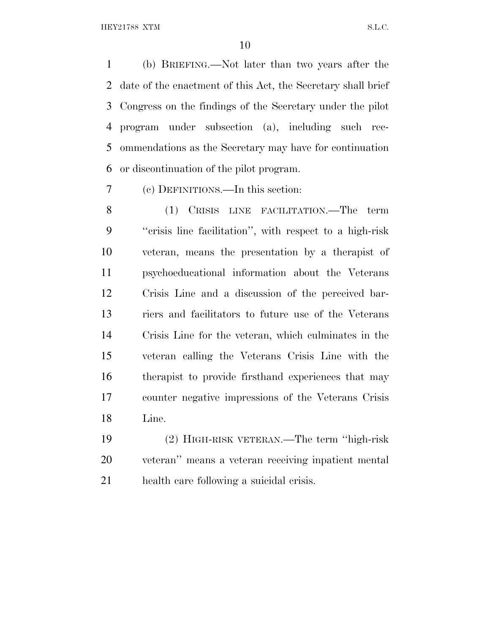HEY21788 XTM S.L.C.

 (b) BRIEFING.—Not later than two years after the date of the enactment of this Act, the Secretary shall brief Congress on the findings of the Secretary under the pilot program under subsection (a), including such rec- ommendations as the Secretary may have for continuation or discontinuation of the pilot program.

(c) DEFINITIONS.—In this section:

 (1) CRISIS LINE FACILITATION.—The term ''crisis line facilitation'', with respect to a high-risk veteran, means the presentation by a therapist of psychoeducational information about the Veterans Crisis Line and a discussion of the perceived bar- riers and facilitators to future use of the Veterans Crisis Line for the veteran, which culminates in the veteran calling the Veterans Crisis Line with the therapist to provide firsthand experiences that may counter negative impressions of the Veterans Crisis Line.

 (2) HIGH-RISK VETERAN.—The term ''high-risk veteran'' means a veteran receiving inpatient mental health care following a suicidal crisis.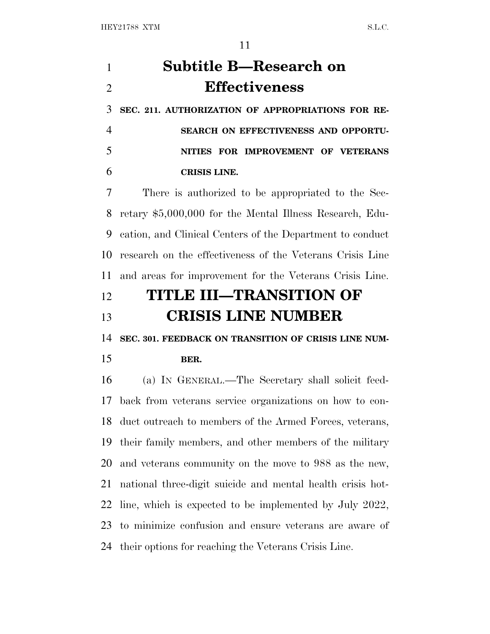# **Subtitle B—Research on Effectiveness**

 **SEC. 211. AUTHORIZATION OF APPROPRIATIONS FOR RE- SEARCH ON EFFECTIVENESS AND OPPORTU- NITIES FOR IMPROVEMENT OF VETERANS CRISIS LINE.**

 There is authorized to be appropriated to the Sec- retary \$5,000,000 for the Mental Illness Research, Edu- cation, and Clinical Centers of the Department to conduct research on the effectiveness of the Veterans Crisis Line and areas for improvement for the Veterans Crisis Line.

## **TITLE III—TRANSITION OF CRISIS LINE NUMBER**

**SEC. 301. FEEDBACK ON TRANSITION OF CRISIS LINE NUM-**

## **BER.**

 (a) I<sup>N</sup> GENERAL.—The Secretary shall solicit feed- back from veterans service organizations on how to con- duct outreach to members of the Armed Forces, veterans, their family members, and other members of the military and veterans community on the move to 988 as the new, national three-digit suicide and mental health crisis hot- line, which is expected to be implemented by July 2022, to minimize confusion and ensure veterans are aware of their options for reaching the Veterans Crisis Line.